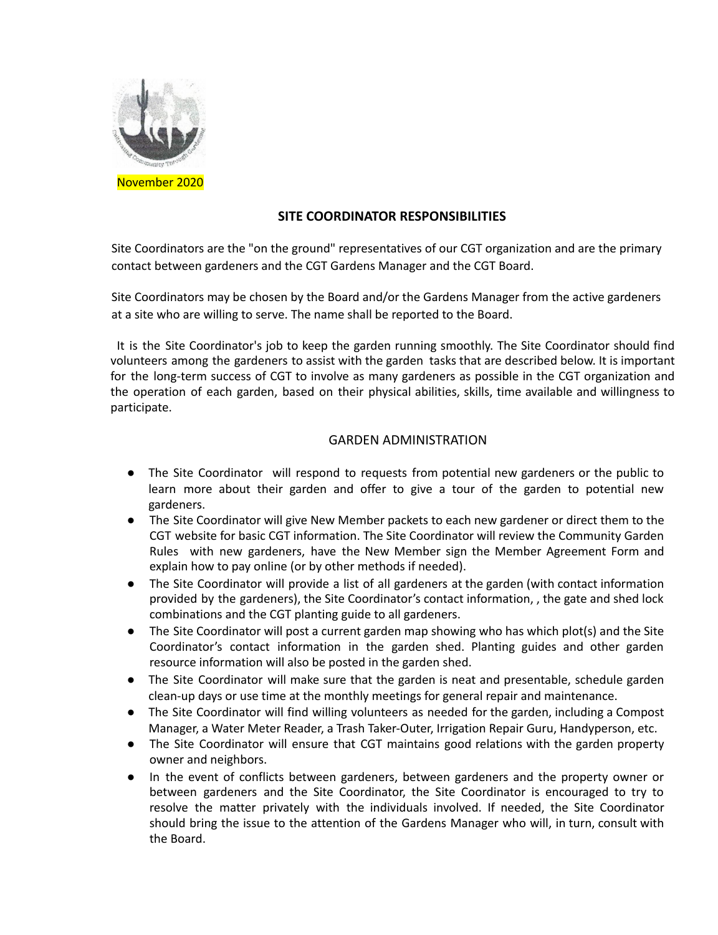

## **SITE COORDINATOR RESPONSIBILITIES**

Site Coordinators are the "on the ground" representatives of our CGT organization and are the primary contact between gardeners and the CGT Gardens Manager and the CGT Board.

Site Coordinators may be chosen by the Board and/or the Gardens Manager from the active gardeners at a site who are willing to serve. The name shall be reported to the Board.

It is the Site Coordinator's job to keep the garden running smoothly. The Site Coordinator should find volunteers among the gardeners to assist with the garden tasks that are described below. It is important for the long-term success of CGT to involve as many gardeners as possible in the CGT organization and the operation of each garden, based on their physical abilities, skills, time available and willingness to participate.

## GARDEN ADMINISTRATION

- The Site Coordinator will respond to requests from potential new gardeners or the public to learn more about their garden and offer to give a tour of the garden to potential new gardeners.
- The Site Coordinator will give New Member packets to each new gardener or direct them to the CGT website for basic CGT information. The Site Coordinator will review the Community Garden Rules with new gardeners, have the New Member sign the Member Agreement Form and explain how to pay online (or by other methods if needed).
- The Site Coordinator will provide a list of all gardeners at the garden (with contact information provided by the gardeners), the Site Coordinator's contact information, , the gate and shed lock combinations and the CGT planting guide to all gardeners.
- The Site Coordinator will post a current garden map showing who has which plot(s) and the Site Coordinator's contact information in the garden shed. Planting guides and other garden resource information will also be posted in the garden shed.
- The Site Coordinator will make sure that the garden is neat and presentable, schedule garden clean-up days or use time at the monthly meetings for general repair and maintenance.
- The Site Coordinator will find willing volunteers as needed for the garden, including a Compost Manager, a Water Meter Reader, a Trash Taker-Outer, Irrigation Repair Guru, Handyperson, etc.
- The Site Coordinator will ensure that CGT maintains good relations with the garden property owner and neighbors.
- In the event of conflicts between gardeners, between gardeners and the property owner or between gardeners and the Site Coordinator, the Site Coordinator is encouraged to try to resolve the matter privately with the individuals involved. If needed, the Site Coordinator should bring the issue to the attention of the Gardens Manager who will, in turn, consult with the Board.